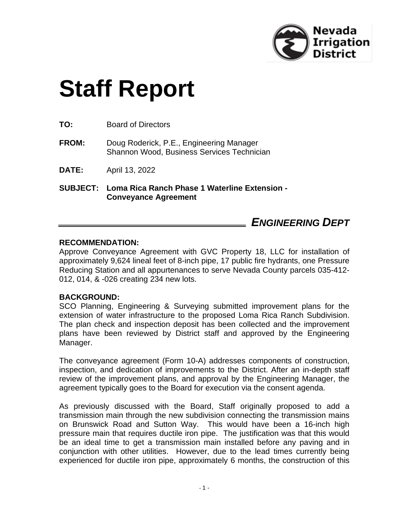

# **Staff Report**

**TO:** Board of Directors

- **FROM:** Doug Roderick, P.E., Engineering Manager Shannon Wood, Business Services Technician
- **DATE:** April 13, 2022

**SUBJECT: Loma Rica Ranch Phase 1 Waterline Extension - Conveyance Agreement**

## *ENGINEERING DEPT*

#### **RECOMMENDATION:**

Approve Conveyance Agreement with GVC Property 18, LLC for installation of approximately 9,624 lineal feet of 8-inch pipe, 17 public fire hydrants, one Pressure Reducing Station and all appurtenances to serve Nevada County parcels 035-412- 012, 014, & -026 creating 234 new lots.

#### **BACKGROUND:**

SCO Planning, Engineering & Surveying submitted improvement plans for the extension of water infrastructure to the proposed Loma Rica Ranch Subdivision. The plan check and inspection deposit has been collected and the improvement plans have been reviewed by District staff and approved by the Engineering Manager.

The conveyance agreement (Form 10-A) addresses components of construction, inspection, and dedication of improvements to the District. After an in-depth staff review of the improvement plans, and approval by the Engineering Manager, the agreement typically goes to the Board for execution via the consent agenda.

As previously discussed with the Board, Staff originally proposed to add a transmission main through the new subdivision connecting the transmission mains on Brunswick Road and Sutton Way. This would have been a 16-inch high pressure main that requires ductile iron pipe. The justification was that this would be an ideal time to get a transmission main installed before any paving and in conjunction with other utilities. However, due to the lead times currently being experienced for ductile iron pipe, approximately 6 months, the construction of this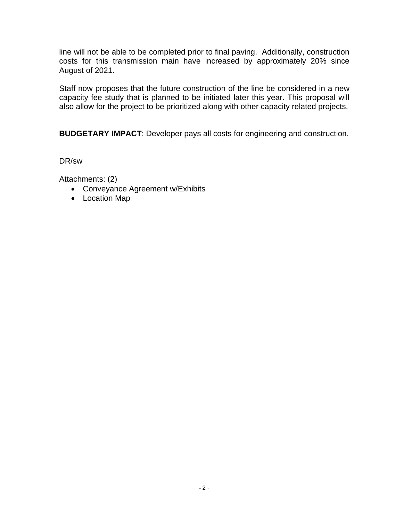line will not be able to be completed prior to final paving. Additionally, construction costs for this transmission main have increased by approximately 20% since August of 2021.

Staff now proposes that the future construction of the line be considered in a new capacity fee study that is planned to be initiated later this year. This proposal will also allow for the project to be prioritized along with other capacity related projects.

**BUDGETARY IMPACT**: Developer pays all costs for engineering and construction.

DR/sw

Attachments: (2)

- Conveyance Agreement w/Exhibits
- Location Map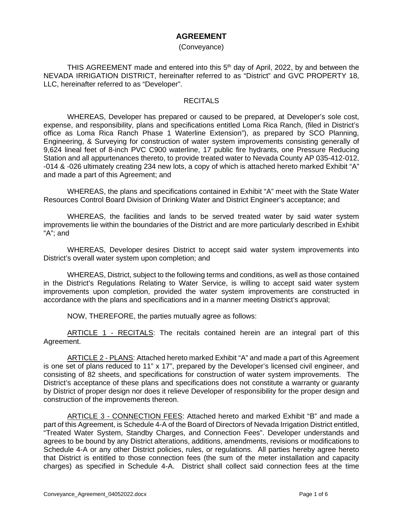#### **AGREEMENT**

#### (Conveyance)

THIS AGREEMENT made and entered into this  $5<sup>th</sup>$  day of April, 2022, by and between the NEVADA IRRIGATION DISTRICT, hereinafter referred to as "District" and GVC PROPERTY 18, LLC, hereinafter referred to as "Developer".

#### RECITALS

WHEREAS, Developer has prepared or caused to be prepared, at Developer's sole cost, expense, and responsibility, plans and specifications entitled Loma Rica Ranch, (filed in District's office as Loma Rica Ranch Phase 1 Waterline Extension"), as prepared by SCO Planning, Engineering, & Surveying for construction of water system improvements consisting generally of 9,624 lineal feet of 8-inch PVC C900 waterline, 17 public fire hydrants, one Pressure Reducing Station and all appurtenances thereto, to provide treated water to Nevada County AP 035-412-012, -014 & -026 ultimately creating 234 new lots, a copy of which is attached hereto marked Exhibit "A" and made a part of this Agreement; and

WHEREAS, the plans and specifications contained in Exhibit "A" meet with the State Water Resources Control Board Division of Drinking Water and District Engineer's acceptance; and

WHEREAS, the facilities and lands to be served treated water by said water system improvements lie within the boundaries of the District and are more particularly described in Exhibit "A"; and

WHEREAS, Developer desires District to accept said water system improvements into District's overall water system upon completion; and

WHEREAS, District, subject to the following terms and conditions, as well as those contained in the District's Regulations Relating to Water Service, is willing to accept said water system improvements upon completion, provided the water system improvements are constructed in accordance with the plans and specifications and in a manner meeting District's approval;

NOW, THEREFORE, the parties mutually agree as follows:

ARTICLE 1 - RECITALS: The recitals contained herein are an integral part of this Agreement.

ARTICLE 2 - PLANS: Attached hereto marked Exhibit "A" and made a part of this Agreement is one set of plans reduced to 11" x 17", prepared by the Developer's licensed civil engineer, and consisting of 82 sheets, and specifications for construction of water system improvements. The District's acceptance of these plans and specifications does not constitute a warranty or guaranty by District of proper design nor does it relieve Developer of responsibility for the proper design and construction of the improvements thereon.

ARTICLE 3 - CONNECTION FEES: Attached hereto and marked Exhibit "B" and made a part of this Agreement, is Schedule 4-A of the Board of Directors of Nevada Irrigation District entitled, "Treated Water System, Standby Charges, and Connection Fees". Developer understands and agrees to be bound by any District alterations, additions, amendments, revisions or modifications to Schedule 4-A or any other District policies, rules, or regulations. All parties hereby agree hereto that District is entitled to those connection fees (the sum of the meter installation and capacity charges) as specified in Schedule 4-A. District shall collect said connection fees at the time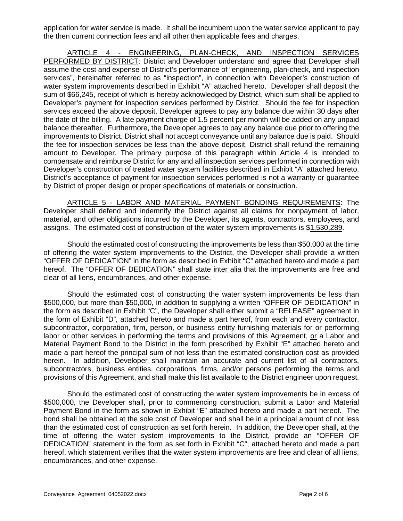application for water service is made. It shall be incumbent upon the water service applicant to pay the then current connection fees and all other then applicable fees and charges.

ARTICLE 4 - ENGINEERING, PLAN-CHECK, AND INSPECTION SERVICES PERFORMED BY DISTRICT: District and Developer understand and agree that Developer shall assume the cost and expense of District's performance of "engineering, plan-check, and inspection services", hereinafter referred to as "inspection", in connection with Developer's construction of water system improvements described in Exhibit "A" attached hereto. Developer shall deposit the sum of \$66,245, receipt of which is hereby acknowledged by District, which sum shall be applied to Developer's payment for inspection services performed by District. Should the fee for inspection services exceed the above deposit, Developer agrees to pay any balance due within 30 days after the date of the billing. A late payment charge of 1.5 percent per month will be added on any unpaid balance thereafter. Furthermore, the Developer agrees to pay any balance due prior to offering the improvements to District. District shall not accept conveyance until any balance due is paid. Should the fee for inspection services be less than the above deposit, District shall refund the remaining amount to Developer. The primary purpose of this paragraph within Article 4 is intended to compensate and reimburse District for any and all inspection services performed in connection with Developer's construction of treated water system facilities described in Exhibit "A" attached hereto. District's acceptance of payment for inspection services performed is not a warranty or guarantee by District of proper design or proper specifications of materials or construction.

ARTICLE 5 - LABOR AND MATERIAL PAYMENT BONDING REQUIREMENTS: The Developer shall defend and indemnify the District against all claims for nonpayment of labor, material, and other obligations incurred by the Developer, its agents, contractors, employees, and assigns. The estimated cost of construction of the water system improvements is \$1,530,289.

Should the estimated cost of constructing the improvements be less than \$50,000 at the time of offering the water system improvements to the District, the Developer shall provide a written "OFFER OF DEDICATION" in the form as described in Exhibit "C" attached hereto and made a part hereof. The "OFFER OF DEDICATION" shall state inter alia that the improvements are free and clear of all liens, encumbrances, and other expense.

Should the estimated cost of constructing the water system improvements be less than \$500,000, but more than \$50,000, in addition to supplying a written "OFFER OF DEDICATION" in the form as described in Exhibit "C", the Developer shall either submit a "RELEASE" agreement in the form of Exhibit "D", attached hereto and made a part hereof, from each and every contractor, subcontractor, corporation, firm, person, or business entity furnishing materials for or performing labor or other services in performing the terms and provisions of this Agreement, or a Labor and Material Payment Bond to the District in the form prescribed by Exhibit "E" attached hereto and made a part hereof the principal sum of not less than the estimated construction cost as provided herein. In addition, Developer shall maintain an accurate and current list of all contractors, subcontractors, business entities, corporations, firms, and/or persons performing the terms and provisions of this Agreement, and shall make this list available to the District engineer upon request.

Should the estimated cost of constructing the water system improvements be in excess of \$500,000, the Developer shall, prior to commencing construction, submit a Labor and Material Payment Bond in the form as shown in Exhibit "E" attached hereto and made a part hereof. The bond shall be obtained at the sole cost of Developer and shall be in a principal amount of not less than the estimated cost of construction as set forth herein. In addition, the Developer shall, at the time of offering the water system improvements to the District, provide an "OFFER OF DEDICATION" statement in the form as set forth in Exhibit "C", attached hereto and made a part hereof, which statement verifies that the water system improvements are free and clear of all liens, encumbrances, and other expense.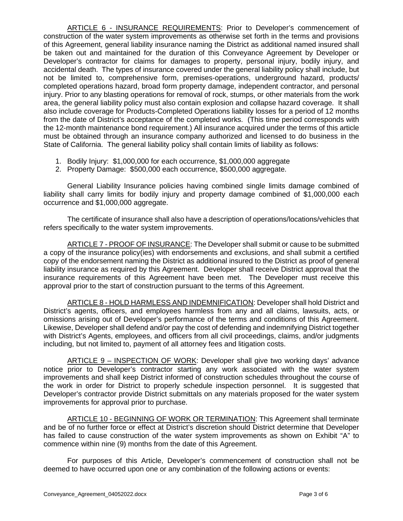ARTICLE 6 - INSURANCE REQUIREMENTS: Prior to Developer's commencement of construction of the water system improvements as otherwise set forth in the terms and provisions of this Agreement, general liability insurance naming the District as additional named insured shall be taken out and maintained for the duration of this Conveyance Agreement by Developer or Developer's contractor for claims for damages to property, personal injury, bodily injury, and accidental death. The types of insurance covered under the general liability policy shall include, but not be limited to, comprehensive form, premises-operations, underground hazard, products/ completed operations hazard, broad form property damage, independent contractor, and personal injury. Prior to any blasting operations for removal of rock, stumps, or other materials from the work area, the general liability policy must also contain explosion and collapse hazard coverage. It shall also include coverage for Products-Completed Operations liability losses for a period of 12 months from the date of District's acceptance of the completed works. (This time period corresponds with the 12-month maintenance bond requirement.) All insurance acquired under the terms of this article must be obtained through an insurance company authorized and licensed to do business in the State of California. The general liability policy shall contain limits of liability as follows:

- 1. Bodily Injury: \$1,000,000 for each occurrence, \$1,000,000 aggregate
- 2. Property Damage: \$500,000 each occurrence, \$500,000 aggregate.

General Liability Insurance policies having combined single limits damage combined of liability shall carry limits for bodily injury and property damage combined of \$1,000,000 each occurrence and \$1,000,000 aggregate.

The certificate of insurance shall also have a description of operations/locations/vehicles that refers specifically to the water system improvements.

ARTICLE 7 - PROOF OF INSURANCE: The Developer shall submit or cause to be submitted a copy of the insurance policy(ies) with endorsements and exclusions, and shall submit a certified copy of the endorsement naming the District as additional insured to the District as proof of general liability insurance as required by this Agreement. Developer shall receive District approval that the insurance requirements of this Agreement have been met. The Developer must receive this approval prior to the start of construction pursuant to the terms of this Agreement.

ARTICLE 8 - HOLD HARMLESS AND INDEMNIFICATION: Developer shall hold District and District's agents, officers, and employees harmless from any and all claims, lawsuits, acts, or omissions arising out of Developer's performance of the terms and conditions of this Agreement. Likewise, Developer shall defend and/or pay the cost of defending and indemnifying District together with District's Agents, employees, and officers from all civil proceedings, claims, and/or judgments including, but not limited to, payment of all attorney fees and litigation costs.

ARTICLE 9 – INSPECTION OF WORK: Developer shall give two working days' advance notice prior to Developer's contractor starting any work associated with the water system improvements and shall keep District informed of construction schedules throughout the course of the work in order for District to properly schedule inspection personnel. It is suggested that Developer's contractor provide District submittals on any materials proposed for the water system improvements for approval prior to purchase.

ARTICLE 10 - BEGINNING OF WORK OR TERMINATION: This Agreement shall terminate and be of no further force or effect at District's discretion should District determine that Developer has failed to cause construction of the water system improvements as shown on Exhibit "A" to commence within nine (9) months from the date of this Agreement.

For purposes of this Article, Developer's commencement of construction shall not be deemed to have occurred upon one or any combination of the following actions or events: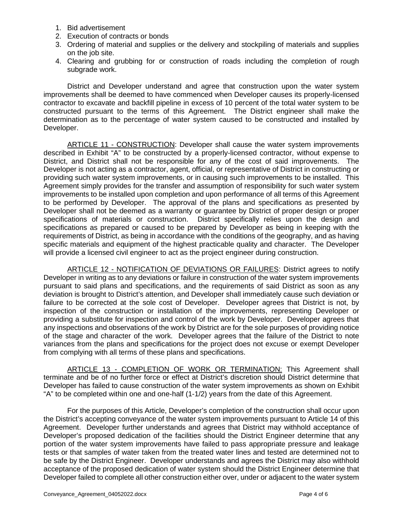- 1. Bid advertisement
- 2. Execution of contracts or bonds
- 3. Ordering of material and supplies or the delivery and stockpiling of materials and supplies on the job site.
- 4. Clearing and grubbing for or construction of roads including the completion of rough subgrade work.

District and Developer understand and agree that construction upon the water system improvements shall be deemed to have commenced when Developer causes its properly-licensed contractor to excavate and backfill pipeline in excess of 10 percent of the total water system to be constructed pursuant to the terms of this Agreement. The District engineer shall make the determination as to the percentage of water system caused to be constructed and installed by Developer.

ARTICLE 11 - CONSTRUCTION: Developer shall cause the water system improvements described in Exhibit "A" to be constructed by a properly-licensed contractor, without expense to District, and District shall not be responsible for any of the cost of said improvements. The Developer is not acting as a contractor, agent, official, or representative of District in constructing or providing such water system improvements, or in causing such improvements to be installed. This Agreement simply provides for the transfer and assumption of responsibility for such water system improvements to be installed upon completion and upon performance of all terms of this Agreement to be performed by Developer. The approval of the plans and specifications as presented by Developer shall not be deemed as a warranty or guarantee by District of proper design or proper specifications of materials or construction. District specifically relies upon the design and specifications as prepared or caused to be prepared by Developer as being in keeping with the requirements of District, as being in accordance with the conditions of the geography, and as having specific materials and equipment of the highest practicable quality and character. The Developer will provide a licensed civil engineer to act as the project engineer during construction.

ARTICLE 12 - NOTIFICATION OF DEVIATIONS OR FAILURES: District agrees to notify Developer in writing as to any deviations or failure in construction of the water system improvements pursuant to said plans and specifications, and the requirements of said District as soon as any deviation is brought to District's attention, and Developer shall immediately cause such deviation or failure to be corrected at the sole cost of Developer. Developer agrees that District is not, by inspection of the construction or installation of the improvements, representing Developer or providing a substitute for inspection and control of the work by Developer. Developer agrees that any inspections and observations of the work by District are for the sole purposes of providing notice of the stage and character of the work. Developer agrees that the failure of the District to note variances from the plans and specifications for the project does not excuse or exempt Developer from complying with all terms of these plans and specifications.

ARTICLE 13 - COMPLETION OF WORK OR TERMINATION: This Agreement shall terminate and be of no further force or effect at District's discretion should District determine that Developer has failed to cause construction of the water system improvements as shown on Exhibit "A" to be completed within one and one-half (1-1/2) years from the date of this Agreement.

For the purposes of this Article, Developer's completion of the construction shall occur upon the District's accepting conveyance of the water system improvements pursuant to Article 14 of this Agreement. Developer further understands and agrees that District may withhold acceptance of Developer's proposed dedication of the facilities should the District Engineer determine that any portion of the water system improvements have failed to pass appropriate pressure and leakage tests or that samples of water taken from the treated water lines and tested are determined not to be safe by the District Engineer. Developer understands and agrees the District may also withhold acceptance of the proposed dedication of water system should the District Engineer determine that Developer failed to complete all other construction either over, under or adjacent to the water system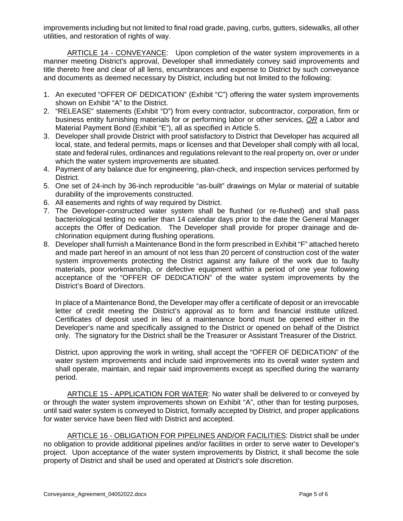improvements including but not limited to final road grade, paving, curbs, gutters, sidewalks, all other utilities, and restoration of rights of way.

ARTICLE 14 - CONVEYANCE: Upon completion of the water system improvements in a manner meeting District's approval, Developer shall immediately convey said improvements and title thereto free and clear of all liens, encumbrances and expense to District by such conveyance and documents as deemed necessary by District, including but not limited to the following:

- 1. An executed "OFFER OF DEDICATION" (Exhibit "C") offering the water system improvements shown on Exhibit "A" to the District.
- 2. "RELEASE" statements (Exhibit "D") from every contractor, subcontractor, corporation, firm or business entity furnishing materials for or performing labor or other services, *OR* a Labor and Material Payment Bond (Exhibit "E"), all as specified in Article 5.
- 3. Developer shall provide District with proof satisfactory to District that Developer has acquired all local, state, and federal permits, maps or licenses and that Developer shall comply with all local, state and federal rules, ordinances and regulations relevant to the real property on, over or under which the water system improvements are situated.
- 4. Payment of any balance due for engineering, plan-check, and inspection services performed by District.
- 5. One set of 24-inch by 36-inch reproducible "as-built" drawings on Mylar or material of suitable durability of the improvements constructed.
- 6. All easements and rights of way required by District.
- 7. The Developer-constructed water system shall be flushed (or re-flushed) and shall pass bacteriological testing no earlier than 14 calendar days prior to the date the General Manager accepts the Offer of Dedication. The Developer shall provide for proper drainage and dechlorination equipment during flushing operations.
- 8. Developer shall furnish a Maintenance Bond in the form prescribed in Exhibit "F" attached hereto and made part hereof in an amount of not less than 20 percent of construction cost of the water system improvements protecting the District against any failure of the work due to faulty materials, poor workmanship, or defective equipment within a period of one year following acceptance of the "OFFER OF DEDICATION" of the water system improvements by the District's Board of Directors.

In place of a Maintenance Bond, the Developer may offer a certificate of deposit or an irrevocable letter of credit meeting the District's approval as to form and financial institute utilized. Certificates of deposit used in lieu of a maintenance bond must be opened either in the Developer's name and specifically assigned to the District or opened on behalf of the District only. The signatory for the District shall be the Treasurer or Assistant Treasurer of the District.

District, upon approving the work in writing, shall accept the "OFFER OF DEDICATION" of the water system improvements and include said improvements into its overall water system and shall operate, maintain, and repair said improvements except as specified during the warranty period.

ARTICLE 15 - APPLICATION FOR WATER: No water shall be delivered to or conveyed by or through the water system improvements shown on Exhibit "A", other than for testing purposes, until said water system is conveyed to District, formally accepted by District, and proper applications for water service have been filed with District and accepted.

ARTICLE 16 - OBLIGATION FOR PIPELINES AND/OR FACILITIES: District shall be under no obligation to provide additional pipelines and/or facilities in order to serve water to Developer's project. Upon acceptance of the water system improvements by District, it shall become the sole property of District and shall be used and operated at District's sole discretion.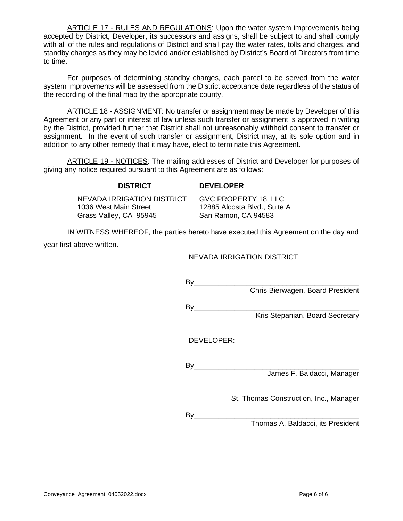ARTICLE 17 - RULES AND REGULATIONS: Upon the water system improvements being accepted by District, Developer, its successors and assigns, shall be subject to and shall comply with all of the rules and regulations of District and shall pay the water rates, tolls and charges, and standby charges as they may be levied and/or established by District's Board of Directors from time to time.

For purposes of determining standby charges, each parcel to be served from the water system improvements will be assessed from the District acceptance date regardless of the status of the recording of the final map by the appropriate county.

ARTICLE 18 - ASSIGNMENT: No transfer or assignment may be made by Developer of this Agreement or any part or interest of law unless such transfer or assignment is approved in writing by the District, provided further that District shall not unreasonably withhold consent to transfer or assignment. In the event of such transfer or assignment, District may, at its sole option and in addition to any other remedy that it may have, elect to terminate this Agreement.

ARTICLE 19 - NOTICES: The mailing addresses of District and Developer for purposes of giving any notice required pursuant to this Agreement are as follows:

#### **DISTRICT DEVELOPER**

NEVADA IRRIGATION DISTRICT GVC PROPERTY 18, LLC 1036 West Main Street 12885 Alcosta Blvd., Suite A Grass Valley, CA 95945 San Ramon, CA 94583

IN WITNESS WHEREOF, the parties hereto have executed this Agreement on the day and year first above written.

NEVADA IRRIGATION DISTRICT:

| Bv         |                                  |
|------------|----------------------------------|
|            | Chris Bierwagen, Board President |
| By         |                                  |
|            | Kris Stepanian, Board Secretary  |
|            |                                  |
| DEVELOPER: |                                  |
|            |                                  |
| B٧         |                                  |
|            | James F. Baldacci, Manager       |
|            |                                  |

St. Thomas Construction, Inc., Manager

By\_\_\_\_\_\_\_\_\_\_\_\_\_\_\_\_\_\_\_\_\_\_\_\_\_\_\_\_\_\_\_\_\_\_\_\_\_\_\_\_\_

Thomas A. Baldacci, its President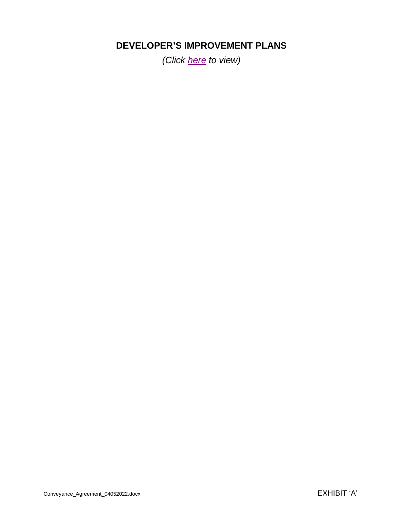# **DEVELOPER'S IMPROVEMENT PLANS**

*(Click [here](https://www.nidwater.com/files/cb8834180/Loma_Rica_-_20210830_-_GV_approved_plans.pdf) to view)*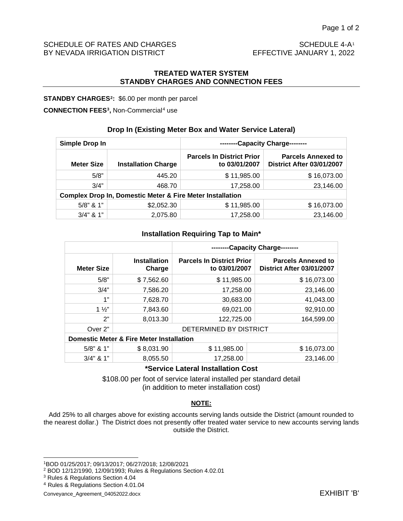#### SCHEDULE OF RATES AND CHARGES<br>BY NEVADA IRRIGATION DISTRICT EFFECTIVE JANUARY [1](#page-9-0), 2022 BY NEVADA IRRIGATION DISTRICT

#### **TREATED WATER SYSTEM STANDBY CHARGES AND CONNECTION FEES**

#### **STANDBY CHARGES[2](#page-9-1):** \$6.00 per month per parcel

#### **CONNECTION FEES[3](#page-9-2),** Non-Commercial[4](#page-9-3) use

#### **Drop In (Existing Meter Box and Water Service Lateral)**

| Simple Drop In                                                       |            | --------Capacity Charge--------                   |                                                               |  |  |  |
|----------------------------------------------------------------------|------------|---------------------------------------------------|---------------------------------------------------------------|--|--|--|
| <b>Meter Size</b><br><b>Installation Charge</b>                      |            | <b>Parcels In District Prior</b><br>to 03/01/2007 | <b>Parcels Annexed to</b><br><b>District After 03/01/2007</b> |  |  |  |
| 5/8"<br>445.20                                                       |            | \$11,985.00                                       | \$16,073.00                                                   |  |  |  |
| 3/4"<br>468.70                                                       |            | 17,258.00                                         | 23,146.00                                                     |  |  |  |
| <b>Complex Drop In, Domestic Meter &amp; Fire Meter Installation</b> |            |                                                   |                                                               |  |  |  |
| $5/8$ " & 1"                                                         | \$2,052.30 | \$11,985.00                                       | \$16,073.00                                                   |  |  |  |
| $3/4$ " & 1"                                                         | 2,075.80   | 17,258.00                                         | 23,146.00                                                     |  |  |  |

#### **Installation Requiring Tap to Main\***

|                   |                                                     | -Capacity Charge--------                          |                                                        |  |  |  |  |
|-------------------|-----------------------------------------------------|---------------------------------------------------|--------------------------------------------------------|--|--|--|--|
| <b>Meter Size</b> | <b>Installation</b><br>Charge                       | <b>Parcels In District Prior</b><br>to 03/01/2007 | <b>Parcels Annexed to</b><br>District After 03/01/2007 |  |  |  |  |
| 5/8"              | \$7,562.60                                          | \$11,985.00                                       | \$16,073.00                                            |  |  |  |  |
| 3/4"              | 7,586.20                                            | 17,258.00                                         | 23,146.00                                              |  |  |  |  |
| 1"                | 7,628.70                                            | 30,683.00                                         | 41,043.00                                              |  |  |  |  |
| $1\frac{1}{2}$    | 7,843.60                                            | 69,021.00                                         | 92,910.00                                              |  |  |  |  |
| 2"                | 8,013.30                                            | 122,725.00                                        | 164,599.00                                             |  |  |  |  |
| Over 2"           |                                                     | DETERMINED BY DISTRICT                            |                                                        |  |  |  |  |
|                   | <b>Domestic Meter &amp; Fire Meter Installation</b> |                                                   |                                                        |  |  |  |  |
| $5/8$ " & 1"      | \$8,031.90                                          | \$11,985.00                                       | \$16,073.00                                            |  |  |  |  |
| $3/4$ " & 1"      | 8,055.50                                            | 17,258.00                                         | 23,146.00                                              |  |  |  |  |

#### **\*Service Lateral Installation Cost**

\$108.00 per foot of service lateral installed per standard detail (in addition to meter installation cost)

#### **NOTE:**

Add 25% to all charges above for existing accounts serving lands outside the District (amount rounded to the nearest dollar.) The District does not presently offer treated water service to new accounts serving lands outside the District.

<span id="page-9-0"></span><sup>1</sup>BOD 01/25/2017; 09/13/2017; 06/27/2018; 12/08/2021

<span id="page-9-1"></span><sup>2</sup> BOD 12/12/1990, 12/09/1993; Rules & Regulations Section 4.02.01

<span id="page-9-2"></span><sup>3</sup> Rules & Regulations Section 4.04

<span id="page-9-3"></span><sup>4</sup> Rules & Regulations Section 4.01.04

Conveyance\_Agreement\_04052022.docx EXHIBIT 'B'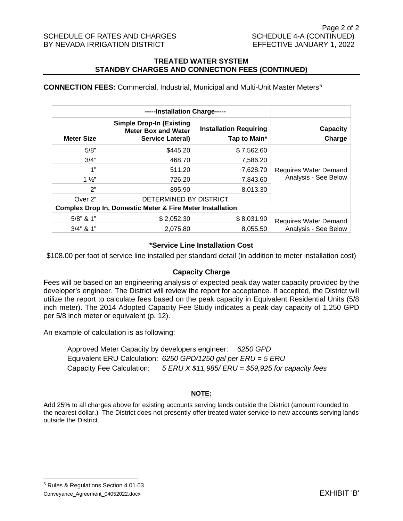#### SCHEDULE OF RATES AND CHARGES SCHEDULE 4-A (CONTINUED) BY NEVADA IRRIGATION DISTRICT EXAMPLE THE SEFFECTIVE JANUARY 1, 2022

#### **TREATED WATER SYSTEM STANDBY CHARGES AND CONNECTION FEES (CONTINUED)**

#### **CONNECTION FEES:** Commercial, Industrial, Municipal and Multi-Unit Master Meters[5](#page-10-0)

|                                                                      | -----Installation Charge-----                                                            |                                               |                              |  |  |  |
|----------------------------------------------------------------------|------------------------------------------------------------------------------------------|-----------------------------------------------|------------------------------|--|--|--|
| <b>Meter Size</b>                                                    | <b>Simple Drop-In (Existing</b><br><b>Meter Box and Water</b><br><b>Service Lateral)</b> | <b>Installation Requiring</b><br>Tap to Main* | <b>Capacity</b><br>Charge    |  |  |  |
| 5/8"                                                                 | \$445.20                                                                                 | \$7,562.60                                    |                              |  |  |  |
| 3/4"                                                                 | 468.70                                                                                   | 7,586.20                                      |                              |  |  |  |
| 1"                                                                   | 511.20                                                                                   | 7,628.70                                      | Requires Water Demand        |  |  |  |
| $1\frac{1}{2}$                                                       | 726.20                                                                                   | 7.843.60                                      | Analysis - See Below         |  |  |  |
| 2"                                                                   | 895.90                                                                                   | 8,013.30                                      |                              |  |  |  |
| Over 2"                                                              | DETERMINED BY DISTRICT                                                                   |                                               |                              |  |  |  |
| <b>Complex Drop In, Domestic Meter &amp; Fire Meter Installation</b> |                                                                                          |                                               |                              |  |  |  |
| $5/8$ " & 1"                                                         | \$2,052.30                                                                               | \$8,031.90                                    | <b>Requires Water Demand</b> |  |  |  |
| $3/4$ " & 1"                                                         | 2,075.80                                                                                 | 8,055.50                                      | Analysis - See Below         |  |  |  |

#### **\*Service Line Installation Cost**

\$108.00 per foot of service line installed per standard detail (in addition to meter installation cost)

#### **Capacity Charge**

Fees will be based on an engineering analysis of expected peak day water capacity provided by the developer's engineer. The District will review the report for acceptance. If accepted, the District will utilize the report to calculate fees based on the peak capacity in Equivalent Residential Units (5/8 inch meter). The 2014 Adopted Capacity Fee Study indicates a peak day capacity of 1,250 GPD per 5/8 inch meter or equivalent (p. 12).

An example of calculation is as following:

Approved Meter Capacity by developers engineer: *6250 GPD* Equivalent ERU Calculation: *6250 GPD/1250 gal per ERU = 5 ERU* Capacity Fee Calculation: *5 ERU X \$11,985/ ERU = \$59,925 for capacity fees*

#### **NOTE:**

Add 25% to all charges above for existing accounts serving lands outside the District (amount rounded to the nearest dollar.) The District does not presently offer treated water service to new accounts serving lands outside the District.

<span id="page-10-0"></span>Conveyance\_Agreement\_04052022.docx EXHIBIT 'B' <sup>5</sup> Rules & Regulations Section 4.01.03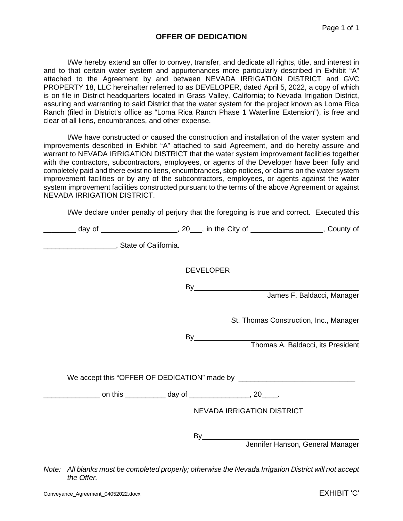#### **OFFER OF DEDICATION**

I/We hereby extend an offer to convey, transfer, and dedicate all rights, title, and interest in and to that certain water system and appurtenances more particularly described in Exhibit "A" attached to the Agreement by and between NEVADA IRRIGATION DISTRICT and GVC PROPERTY 18, LLC hereinafter referred to as DEVELOPER, dated April 5, 2022, a copy of which is on file in District headquarters located in Grass Valley, California; to Nevada Irrigation District, assuring and warranting to said District that the water system for the project known as Loma Rica Ranch (filed in District's office as "Loma Rica Ranch Phase 1 Waterline Extension"), is free and clear of all liens, encumbrances, and other expense.

I/We have constructed or caused the construction and installation of the water system and improvements described in Exhibit "A" attached to said Agreement, and do hereby assure and warrant to NEVADA IRRIGATION DISTRICT that the water system improvement facilities together with the contractors, subcontractors, employees, or agents of the Developer have been fully and completely paid and there exist no liens, encumbrances, stop notices, or claims on the water system improvement facilities or by any of the subcontractors, employees, or agents against the water system improvement facilities constructed pursuant to the terms of the above Agreement or against NEVADA IRRIGATION DISTRICT.

I/We declare under penalty of perjury that the foregoing is true and correct. Executed this

| _________ day of ______________________, 20___, in the City of _________________, County of |                                         |  |
|---------------------------------------------------------------------------------------------|-----------------------------------------|--|
|                                                                                             |                                         |  |
|                                                                                             | <b>DEVELOPER</b>                        |  |
|                                                                                             | By<br>James F. Baldacci, Manager        |  |
|                                                                                             | St. Thomas Construction, Inc., Manager  |  |
|                                                                                             | By<br>Thomas A. Baldacci, its President |  |
|                                                                                             |                                         |  |
|                                                                                             |                                         |  |
|                                                                                             | <b>NEVADA IRRIGATION DISTRICT</b>       |  |
|                                                                                             | By<br>Jennifer Hanson, General Manager  |  |

*Note: All blanks must be completed properly; otherwise the Nevada Irrigation District will not accept the Offer.*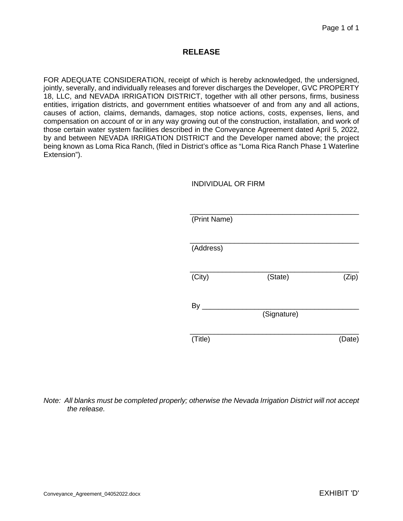#### **RELEASE**

FOR ADEQUATE CONSIDERATION, receipt of which is hereby acknowledged, the undersigned, jointly, severally, and individually releases and forever discharges the Developer, GVC PROPERTY 18, LLC, and NEVADA IRRIGATION DISTRICT, together with all other persons, firms, business entities, irrigation districts, and government entities whatsoever of and from any and all actions, causes of action, claims, demands, damages, stop notice actions, costs, expenses, liens, and compensation on account of or in any way growing out of the construction, installation, and work of those certain water system facilities described in the Conveyance Agreement dated April 5, 2022, by and between NEVADA IRRIGATION DISTRICT and the Developer named above; the project being known as Loma Rica Ranch, (filed in District's office as "Loma Rica Ranch Phase 1 Waterline Extension").

#### INDIVIDUAL OR FIRM

| (Print Name) |             |        |
|--------------|-------------|--------|
| (Address)    |             |        |
|              |             |        |
|              |             |        |
| (City)       | (State)     | (Zip)  |
|              |             |        |
| By           |             |        |
|              | (Signature) |        |
|              |             |        |
| (Title)      |             | (Date) |
|              |             |        |

#### *Note: All blanks must be completed properly; otherwise the Nevada Irrigation District will not accept the release.*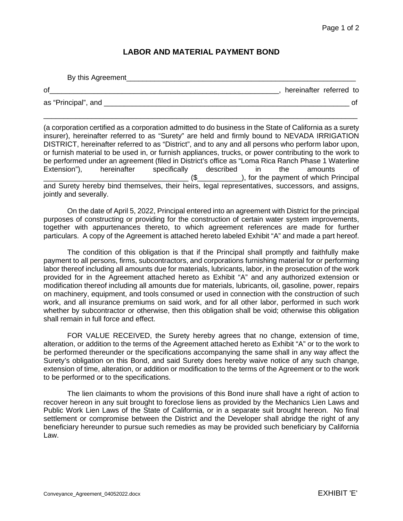### **LABOR AND MATERIAL PAYMENT BOND**

| By this Agreement   |                         |  |
|---------------------|-------------------------|--|
| of                  | hereinafter referred to |  |
| as "Principal", and |                         |  |

\_\_\_\_\_\_\_\_\_\_\_\_\_\_\_\_\_\_\_\_\_\_\_\_\_\_\_\_\_\_\_\_\_\_\_\_\_\_\_\_\_\_\_\_\_\_\_\_\_\_\_\_\_\_\_\_\_\_\_\_\_\_\_\_\_\_\_\_\_\_\_\_\_\_\_\_\_\_

(a corporation certified as a corporation admitted to do business in the State of California as a surety insurer), hereinafter referred to as "Surety" are held and firmly bound to NEVADA IRRIGATION DISTRICT, hereinafter referred to as "District", and to any and all persons who perform labor upon, or furnish material to be used in, or furnish appliances, trucks, or power contributing to the work to be performed under an agreement (filed in District's office as "Loma Rica Ranch Phase 1 Waterline<br>Extension"), leterinafter specifically described in the amounts of Extension"), hereinafter specifically described in the amounts of  $(\text{$\$}$   $\qquad \qquad$  ), for the payment of which Principal and Surety hereby bind themselves, their heirs, legal representatives, successors, and assigns, jointly and severally.

On the date of April 5, 2022, Principal entered into an agreement with District for the principal purposes of constructing or providing for the construction of certain water system improvements, together with appurtenances thereto, to which agreement references are made for further particulars. A copy of the Agreement is attached hereto labeled Exhibit "A" and made a part hereof.

The condition of this obligation is that if the Principal shall promptly and faithfully make payment to all persons, firms, subcontractors, and corporations furnishing material for or performing labor thereof including all amounts due for materials, lubricants, labor, in the prosecution of the work provided for in the Agreement attached hereto as Exhibit "A" and any authorized extension or modification thereof including all amounts due for materials, lubricants, oil, gasoline, power, repairs on machinery, equipment, and tools consumed or used in connection with the construction of such work, and all insurance premiums on said work, and for all other labor, performed in such work whether by subcontractor or otherwise, then this obligation shall be void; otherwise this obligation shall remain in full force and effect.

FOR VALUE RECEIVED, the Surety hereby agrees that no change, extension of time, alteration, or addition to the terms of the Agreement attached hereto as Exhibit "A" or to the work to be performed thereunder or the specifications accompanying the same shall in any way affect the Surety's obligation on this Bond, and said Surety does hereby waive notice of any such change, extension of time, alteration, or addition or modification to the terms of the Agreement or to the work to be performed or to the specifications.

The lien claimants to whom the provisions of this Bond inure shall have a right of action to recover hereon in any suit brought to foreclose liens as provided by the Mechanics Lien Laws and Public Work Lien Laws of the State of California, or in a separate suit brought hereon. No final settlement or compromise between the District and the Developer shall abridge the right of any beneficiary hereunder to pursue such remedies as may be provided such beneficiary by California Law.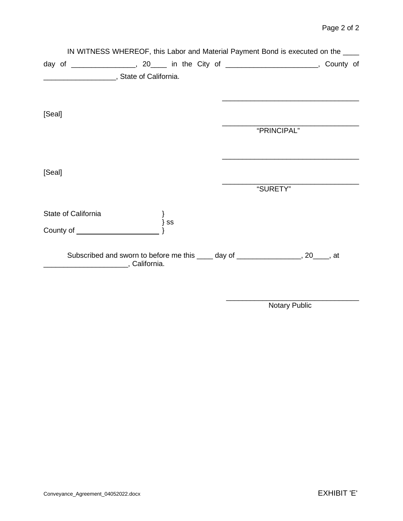|        |                     |                                              |    |  | IN WITNESS WHEREOF, this Labor and Material Payment Bond is executed on the ____      |  |  |
|--------|---------------------|----------------------------------------------|----|--|---------------------------------------------------------------------------------------|--|--|
|        |                     |                                              |    |  | day of __________________, 20_____ in the City of ________________________, County of |  |  |
|        |                     | State of California.                         |    |  |                                                                                       |  |  |
|        |                     |                                              |    |  |                                                                                       |  |  |
| [Seal] |                     |                                              |    |  |                                                                                       |  |  |
|        |                     |                                              |    |  | "PRINCIPAL"                                                                           |  |  |
| [Seal] |                     |                                              |    |  |                                                                                       |  |  |
|        |                     |                                              |    |  | "SURETY"                                                                              |  |  |
|        | State of California |                                              |    |  |                                                                                       |  |  |
|        |                     |                                              | SS |  |                                                                                       |  |  |
|        |                     | _______________________________, California. |    |  | Subscribed and sworn to before me this _____ day of ________________, 20____, at      |  |  |

\_\_\_\_\_\_\_\_\_\_\_\_\_\_\_\_\_\_\_\_\_\_\_\_\_\_\_\_\_\_\_\_\_ Notary Public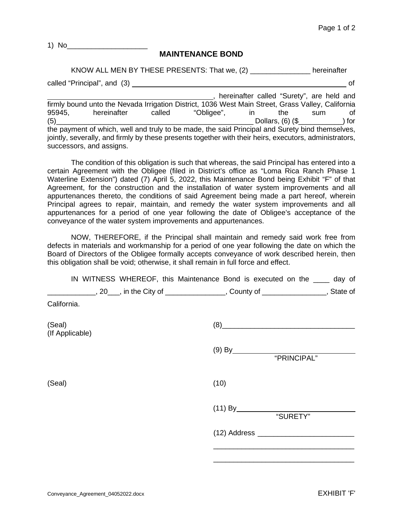1) No

#### **MAINTENANCE BOND**

KNOW ALL MEN BY THESE PRESENTS: That we, (2) \_\_\_\_\_\_\_\_\_\_\_\_\_\_\_ hereinafter called "Principal", and (3) <u>contact the control of the control of the control of the control of the control of</u> , hereinafter called "Surety", are held and firmly bound unto the Nevada Irrigation District, 1036 West Main Street, Grass Valley, California<br>95945. hereinafter called "Obligee", in the sum of 95945, hereinafter called "Obligee", in the sum of<br>(5) Dollars, (6) (\$) Dollars,  $(6)$   $(\$$ the payment of which, well and truly to be made, the said Principal and Surety bind themselves, jointly, severally, and firmly by these presents together with their heirs, executors, administrators, successors, and assigns.

The condition of this obligation is such that whereas, the said Principal has entered into a certain Agreement with the Obligee (filed in District's office as "Loma Rica Ranch Phase 1 Waterline Extension") dated (7) April 5, 2022, this Maintenance Bond being Exhibit "F" of that Agreement, for the construction and the installation of water system improvements and all appurtenances thereto, the conditions of said Agreement being made a part hereof, wherein Principal agrees to repair, maintain, and remedy the water system improvements and all appurtenances for a period of one year following the date of Obligee's acceptance of the conveyance of the water system improvements and appurtenances.

NOW, THEREFORE, if the Principal shall maintain and remedy said work free from defects in materials and workmanship for a period of one year following the date on which the Board of Directors of the Obligee formally accepts conveyance of work described herein, then this obligation shall be void; otherwise, it shall remain in full force and effect.

|                           | IN WITNESS WHEREOF, this Maintenance Bond is executed on the _____ day of                   |
|---------------------------|---------------------------------------------------------------------------------------------|
|                           | _______________, 20___, in the City of ________________, County of ______________, State of |
| California.               |                                                                                             |
| (Seal)<br>(If Applicable) | $(8) \qquad \qquad \overbrace{\qquad \qquad }$                                              |
|                           |                                                                                             |
| (Seal)                    | (10)                                                                                        |
|                           | "SURETY"                                                                                    |
|                           |                                                                                             |
|                           |                                                                                             |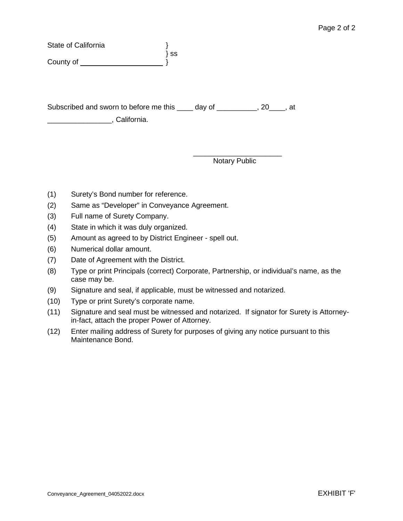| State of California                                                                        |      |                      |  |
|--------------------------------------------------------------------------------------------|------|----------------------|--|
| County of <u>County of County of</u>                                                       | } ss |                      |  |
| Subscribed and sworn to before me this _____ day of ___________, 20____, at<br>California. |      |                      |  |
|                                                                                            |      | <b>Notary Public</b> |  |

- (1) Surety's Bond number for reference.
- (2) Same as "Developer" in Conveyance Agreement.
- (3) Full name of Surety Company.
- (4) State in which it was duly organized.
- (5) Amount as agreed to by District Engineer spell out.
- (6) Numerical dollar amount.
- (7) Date of Agreement with the District.
- (8) Type or print Principals (correct) Corporate, Partnership, or individual's name, as the case may be.
- (9) Signature and seal, if applicable, must be witnessed and notarized.
- (10) Type or print Surety's corporate name.
- (11) Signature and seal must be witnessed and notarized. If signator for Surety is Attorneyin-fact, attach the proper Power of Attorney.
- (12) Enter mailing address of Surety for purposes of giving any notice pursuant to this Maintenance Bond.